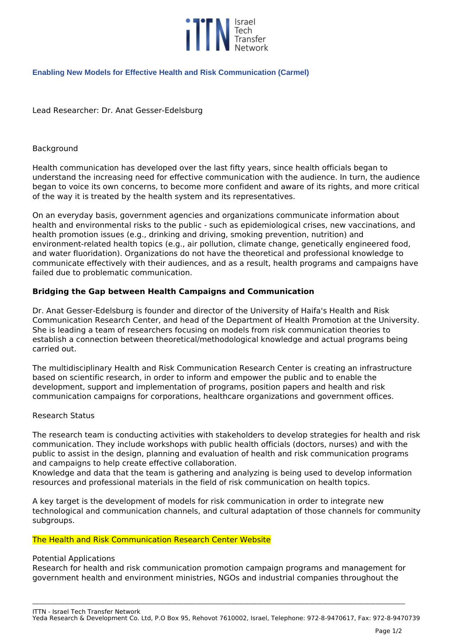

# **Enabling New Models for Effective Health and Risk Communication (Carmel)**

*Lead Researcher: Dr. Anat Gesser-Edelsburg*

### *Background*

*Health communication has developed over the last fifty years, since health officials began to understand the increasing need for effective communication with the audience. In turn, the audience began to voice its own concerns, to become more confident and aware of its rights, and more critical of the way it is treated by the health system and its representatives.*

*On an everyday basis, government agencies and organizations communicate information about health and environmental risks to the public - such as epidemiological crises, new vaccinations, and health promotion issues (e.g., drinking and driving, smoking prevention, nutrition) and environment-related health topics (e.g., air pollution, climate change, genetically engineered food, and water fluoridation). Organizations do not have the theoretical and professional knowledge to communicate effectively with their audiences, and as a result, health programs and campaigns have failed due to problematic communication.*

# **Bridging the Gap between Health Campaigns and Communication**

*Dr. Anat Gesser-Edelsburg is founder and director of the University of Haifa's Health and Risk Communication Research Center, and head of the Department of Health Promotion at the University. She is leading a team of researchers focusing on models from risk communication theories to establish a connection between theoretical/methodological knowledge and actual programs being carried out.*

*The multidisciplinary Health and Risk Communication Research Center is creating an infrastructure based on scientific research, in order to inform and empower the public and to enable the development, support and implementation of programs, position papers and health and risk communication campaigns for corporations, healthcare organizations and government offices.*

### *Research Status*

*The research team is conducting activities with stakeholders to develop strategies for health and risk communication. They include workshops with public health officials (doctors, nurses) and with the public to assist in the design, planning and evaluation of health and risk communication programs and campaigns to help create effective collaboration.*

*Knowledge and data that the team is gathering and analyzing is being used to develop information resources and professional materials in the field of risk communication on health topics.*

*A key target is the development of models for risk communication in order to integrate new technological and communication channels, and cultural adaptation of those channels for community subgroups.*

### *The Health and Risk Communication Research Center Website*

### *Potential Applications*

*Research for health and risk communication promotion campaign programs and management for government health and environment ministries, NGOs and industrial companies throughout the*

**\_\_\_\_\_\_\_\_\_\_\_\_\_\_\_\_\_\_\_\_\_\_\_\_\_\_\_\_\_\_\_\_\_\_\_\_\_\_\_\_\_\_\_\_\_\_\_\_\_\_\_\_\_\_\_\_\_\_\_\_\_\_\_\_\_\_\_\_\_\_\_\_\_\_\_\_\_\_\_\_\_\_\_\_\_\_\_\_\_\_\_\_\_\_\_\_\_\_\_\_\_\_\_\_\_\_\_\_\_\_\_\_\_\_\_\_\_\_\_\_\_\_\_\_\_\_\_\_\_\_\_\_\_\_\_\_\_\_\_\_\_\_\_\_\_\_\_\_\_\_\_\_\_\_\_\_\_\_\_\_\_\_\_**